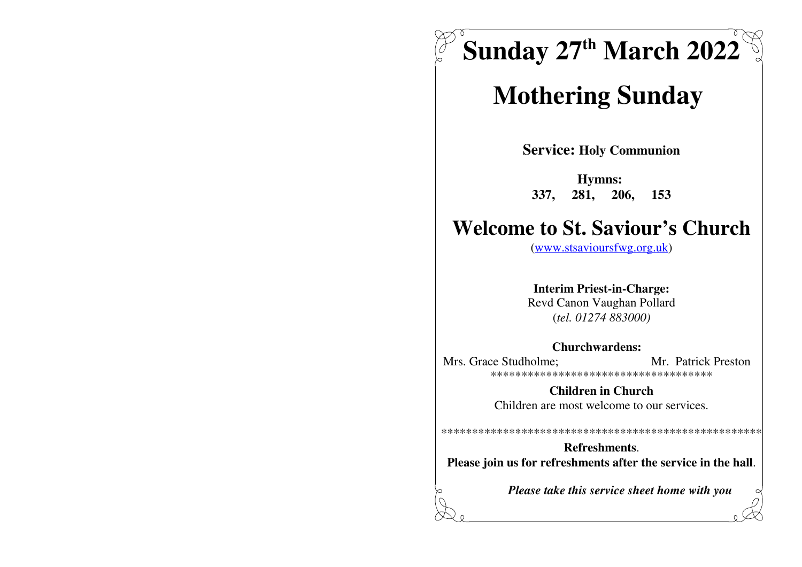

# **Mothering Sunday**

**Service: Holy Communion** 

Hymns: 337, 281, 206, 153

# **Welcome to St. Saviour's Church**

 $(www.stsavioursfwg.org.uk)$ 

**Interim Priest-in-Charge:** Revd Canon Vaughan Pollard

 $(tel. 01274 883000)$ 

#### **Churchwardens:**

Mrs. Grace Studholme: Mr. Patrick Preston \*\*\*\*\*\*\*\*\*\*\*\*\*\*\*\*\*\*\*\*\*\*\*\*\*\*\*\*\*\*\*\*\*\*\*\*\*

> **Children in Church** Children are most welcome to our services.

Refreshments. Please join us for refreshments after the service in the hall.

Please take this service sheet home with you